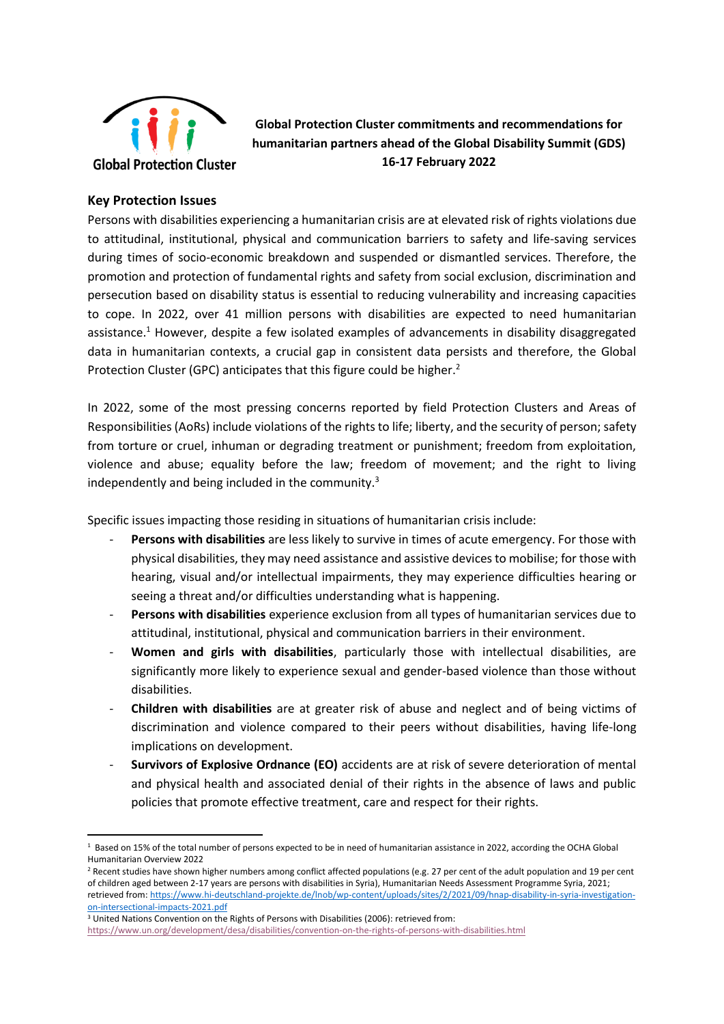

**Global Protection Cluster commitments and recommendations for humanitarian partners ahead of the Global Disability Summit (GDS) 16-17 February 2022**

#### **Key Protection Issues**

Persons with disabilities experiencing a humanitarian crisis are at elevated risk of rights violations due to attitudinal, institutional, physical and communication barriers to safety and life-saving services during times of socio-economic breakdown and suspended or dismantled services. Therefore, the promotion and protection of fundamental rights and safety from social exclusion, discrimination and persecution based on disability status is essential to reducing vulnerability and increasing capacities to cope. In 2022, over 41 million persons with disabilities are expected to need humanitarian assistance.<sup>1</sup> However, despite a few isolated examples of advancements in disability disaggregated data in humanitarian contexts, a crucial gap in consistent data persists and therefore, the Global Protection Cluster (GPC) anticipates that this figure could be higher.<sup>2</sup>

In 2022, some of the most pressing concerns reported by field Protection Clusters and Areas of Responsibilities (AoRs) include violations of the rights to life; liberty, and the security of person; safety from torture or cruel, inhuman or degrading treatment or punishment; freedom from exploitation, violence and abuse; equality before the law; freedom of movement; and the right to living independently and being included in the community. $3$ 

Specific issues impacting those residing in situations of humanitarian crisis include:

- **Persons with disabilities** are less likely to survive in times of acute emergency. For those with physical disabilities, they may need assistance and assistive devices to mobilise; for those with hearing, visual and/or intellectual impairments, they may experience difficulties hearing or seeing a threat and/or difficulties understanding what is happening.
- **Persons with disabilities** experience exclusion from all types of humanitarian services due to attitudinal, institutional, physical and communication barriers in their environment.
- **Women and girls with disabilities**, particularly those with intellectual disabilities, are significantly more likely to experience sexual and gender-based violence than those without disabilities.
- **Children with disabilities** are at greater risk of abuse and neglect and of being victims of discrimination and violence compared to their peers without disabilities, having life-long implications on development.
- **Survivors of Explosive Ordnance (EO)** accidents are at risk of severe deterioration of mental and physical health and associated denial of their rights in the absence of laws and public policies that promote effective treatment, care and respect for their rights.

<sup>3</sup> United Nations Convention on the Rights of Persons with Disabilities (2006): retrieved from: <https://www.un.org/development/desa/disabilities/convention-on-the-rights-of-persons-with-disabilities.html>

<sup>1</sup> Based on 15% of the total number of persons expected to be in need of humanitarian assistance in 2022, according the OCHA Global Humanitarian Overview 2022

<sup>&</sup>lt;sup>2</sup> Recent studies have shown higher numbers among conflict affected populations (e.g. 27 per cent of the adult population and 19 per cent of children aged between 2-17 years are persons with disabilities in Syria), Humanitarian Needs Assessment Programme Syria, 2021; retrieved from[: https://www.hi-deutschland-projekte.de/lnob/wp-content/uploads/sites/2/2021/09/hnap-disability-in-syria-investigation](https://www.hi-deutschland-projekte.de/lnob/wp-content/uploads/sites/2/2021/09/hnap-disability-in-syria-investigation-on-intersectional-impacts-2021.pdf)[on-intersectional-impacts-2021.pdf](https://www.hi-deutschland-projekte.de/lnob/wp-content/uploads/sites/2/2021/09/hnap-disability-in-syria-investigation-on-intersectional-impacts-2021.pdf)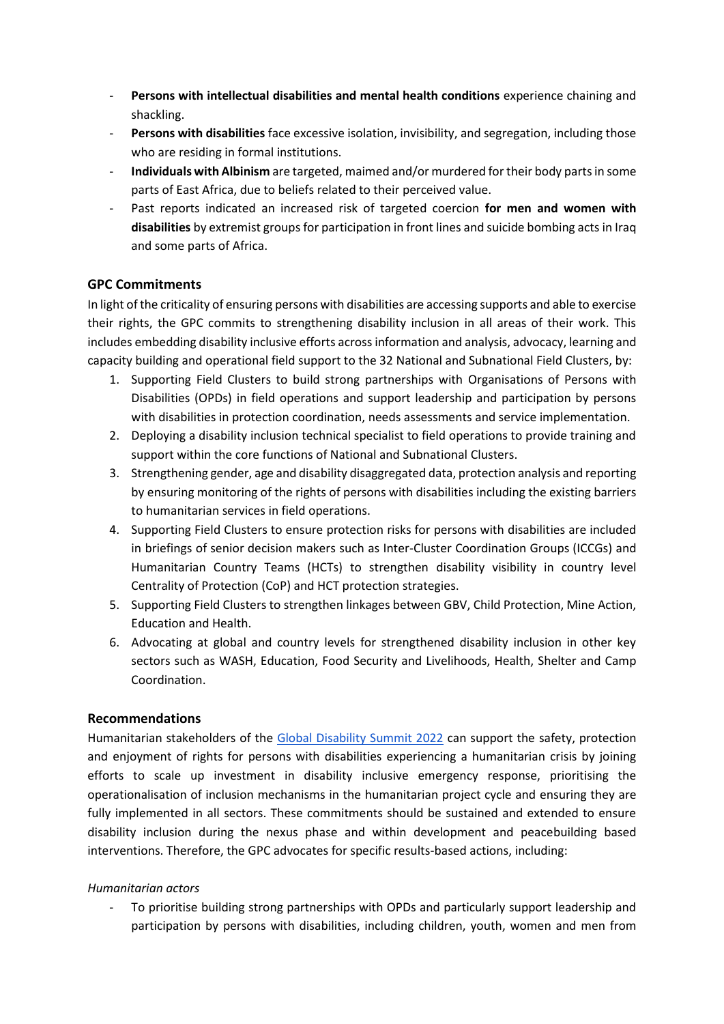- **Persons with intellectual disabilities and mental health conditions** experience chaining and shackling.
- Persons with disabilities face excessive isolation, invisibility, and segregation, including those who are residing in formal institutions.
- **Individuals with Albinism** are targeted, maimed and/or murdered for their body parts in some parts of East Africa, due to beliefs related to their perceived value.
- Past reports indicated an increased risk of targeted coercion for men and women with **disabilities** by extremist groups for participation in front lines and suicide bombing acts in Iraq and some parts of Africa.

# **GPC Commitments**

In light of the criticality of ensuring persons with disabilities are accessing supports and able to exercise their rights, the GPC commits to strengthening disability inclusion in all areas of their work. This includes embedding disability inclusive efforts across information and analysis, advocacy, learning and capacity building and operational field support to the 32 National and Subnational Field Clusters, by:

- 1. Supporting Field Clusters to build strong partnerships with Organisations of Persons with Disabilities (OPDs) in field operations and support leadership and participation by persons with disabilities in protection coordination, needs assessments and service implementation.
- 2. Deploying a disability inclusion technical specialist to field operations to provide training and support within the core functions of National and Subnational Clusters.
- 3. Strengthening gender, age and disability disaggregated data, protection analysis and reporting by ensuring monitoring of the rights of persons with disabilities including the existing barriers to humanitarian services in field operations.
- 4. Supporting Field Clusters to ensure protection risks for persons with disabilities are included in briefings of senior decision makers such as Inter-Cluster Coordination Groups (ICCGs) and Humanitarian Country Teams (HCTs) to strengthen disability visibility in country level Centrality of Protection (CoP) and HCT protection strategies.
- 5. Supporting Field Clusters to strengthen linkages between GBV, Child Protection, Mine Action, Education and Health.
- 6. Advocating at global and country levels for strengthened disability inclusion in other key sectors such as WASH, Education, Food Security and Livelihoods, Health, Shelter and Camp Coordination.

# **Recommendations**

Humanitarian stakeholders of the [Global Disability Summit 2022](https://www.globaldisabilitysummit.org/) can support the safety, protection and enjoyment of rights for persons with disabilities experiencing a humanitarian crisis by joining efforts to scale up investment in disability inclusive emergency response, prioritising the operationalisation of inclusion mechanisms in the humanitarian project cycle and ensuring they are fully implemented in all sectors. These commitments should be sustained and extended to ensure disability inclusion during the nexus phase and within development and peacebuilding based interventions. Therefore, the GPC advocates for specific results-based actions, including:

# *Humanitarian actors*

To prioritise building strong partnerships with OPDs and particularly support leadership and participation by persons with disabilities, including children, youth, women and men from